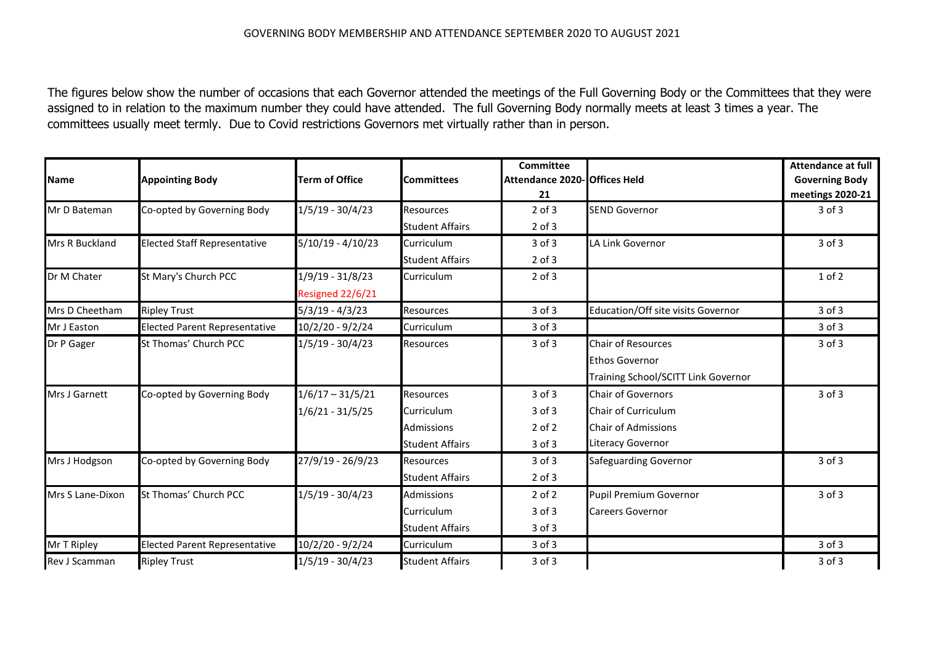The figures below show the number of occasions that each Governor attended the meetings of the Full Governing Body or the Committees that they were assigned to in relation to the maximum number they could have attended. The full Governing Body normally meets at least 3 times a year. The committees usually meet termly. Due to Covid restrictions Governors met virtually rather than in person.

| <b>Name</b>      | <b>Appointing Body</b>               | <b>Term of Office</b> | <b>Committees</b>      | <b>Committee</b><br>Attendance 2020- Offices Held<br>21 |                                     | <b>Attendance at full</b><br><b>Governing Body</b><br>meetings 2020-21 |
|------------------|--------------------------------------|-----------------------|------------------------|---------------------------------------------------------|-------------------------------------|------------------------------------------------------------------------|
| Mr D Bateman     | Co-opted by Governing Body           | $1/5/19 - 30/4/23$    | Resources              | $2$ of $3$                                              | <b>SEND Governor</b>                | $3$ of $3$                                                             |
|                  |                                      |                       | <b>Student Affairs</b> | $2$ of $3$                                              |                                     |                                                                        |
| Mrs R Buckland   | <b>Elected Staff Representative</b>  | $5/10/19 - 4/10/23$   | Curriculum             | 3 of 3                                                  | LA Link Governor                    | 3 of 3                                                                 |
|                  |                                      |                       | <b>Student Affairs</b> | $2$ of $3$                                              |                                     |                                                                        |
| Dr M Chater      | St Mary's Church PCC                 | 1/9/19 - 31/8/23      | Curriculum             | $2$ of $3$                                              |                                     | $1$ of $2$                                                             |
|                  |                                      | Resigned 22/6/21      |                        |                                                         |                                     |                                                                        |
| Mrs D Cheetham   | <b>Ripley Trust</b>                  | $5/3/19 - 4/3/23$     | <b>Resources</b>       | 3 of 3                                                  | Education/Off site visits Governor  | 3 of 3                                                                 |
| Mr J Easton      | <b>Elected Parent Representative</b> | 10/2/20 - 9/2/24      | Curriculum             | $3$ of $3$                                              |                                     | 3 of 3                                                                 |
| Dr P Gager       | St Thomas' Church PCC                | 1/5/19 - 30/4/23      | <b>Resources</b>       | 3 of 3                                                  | <b>Chair of Resources</b>           | 3 of 3                                                                 |
|                  |                                      |                       |                        |                                                         | <b>Ethos Governor</b>               |                                                                        |
|                  |                                      |                       |                        |                                                         | Training School/SCITT Link Governor |                                                                        |
| Mrs J Garnett    | Co-opted by Governing Body           | $1/6/17 - 31/5/21$    | <b>Resources</b>       | 3 of 3                                                  | <b>Chair of Governors</b>           | 3 of 3                                                                 |
|                  |                                      | $1/6/21 - 31/5/25$    | Curriculum             | 3 of 3                                                  | Chair of Curriculum                 |                                                                        |
|                  |                                      |                       | <b>Admissions</b>      | $2$ of $2$                                              | <b>Chair of Admissions</b>          |                                                                        |
|                  |                                      |                       | <b>Student Affairs</b> | $3$ of $3$                                              | Literacy Governor                   |                                                                        |
| Mrs J Hodgson    | Co-opted by Governing Body           | 27/9/19 - 26/9/23     | <b>Resources</b>       | $3$ of $3$                                              | Safeguarding Governor               | 3 of 3                                                                 |
|                  |                                      |                       | <b>Student Affairs</b> | $2$ of $3$                                              |                                     |                                                                        |
| Mrs S Lane-Dixon | St Thomas' Church PCC                | $1/5/19 - 30/4/23$    | <b>Admissions</b>      | $2$ of $2$                                              | Pupil Premium Governor              | 3 of 3                                                                 |
|                  |                                      |                       | Curriculum             | 3 of 3                                                  | <b>Careers Governor</b>             |                                                                        |
|                  |                                      |                       | <b>Student Affairs</b> | $3$ of $3$                                              |                                     |                                                                        |
| Mr T Ripley      | <b>Elected Parent Representative</b> | 10/2/20 - 9/2/24      | Curriculum             | $3$ of $3$                                              |                                     | 3 of 3                                                                 |
| Rev J Scamman    | <b>Ripley Trust</b>                  | $1/5/19 - 30/4/23$    | <b>Student Affairs</b> | 3 of 3                                                  |                                     | 3 of 3                                                                 |